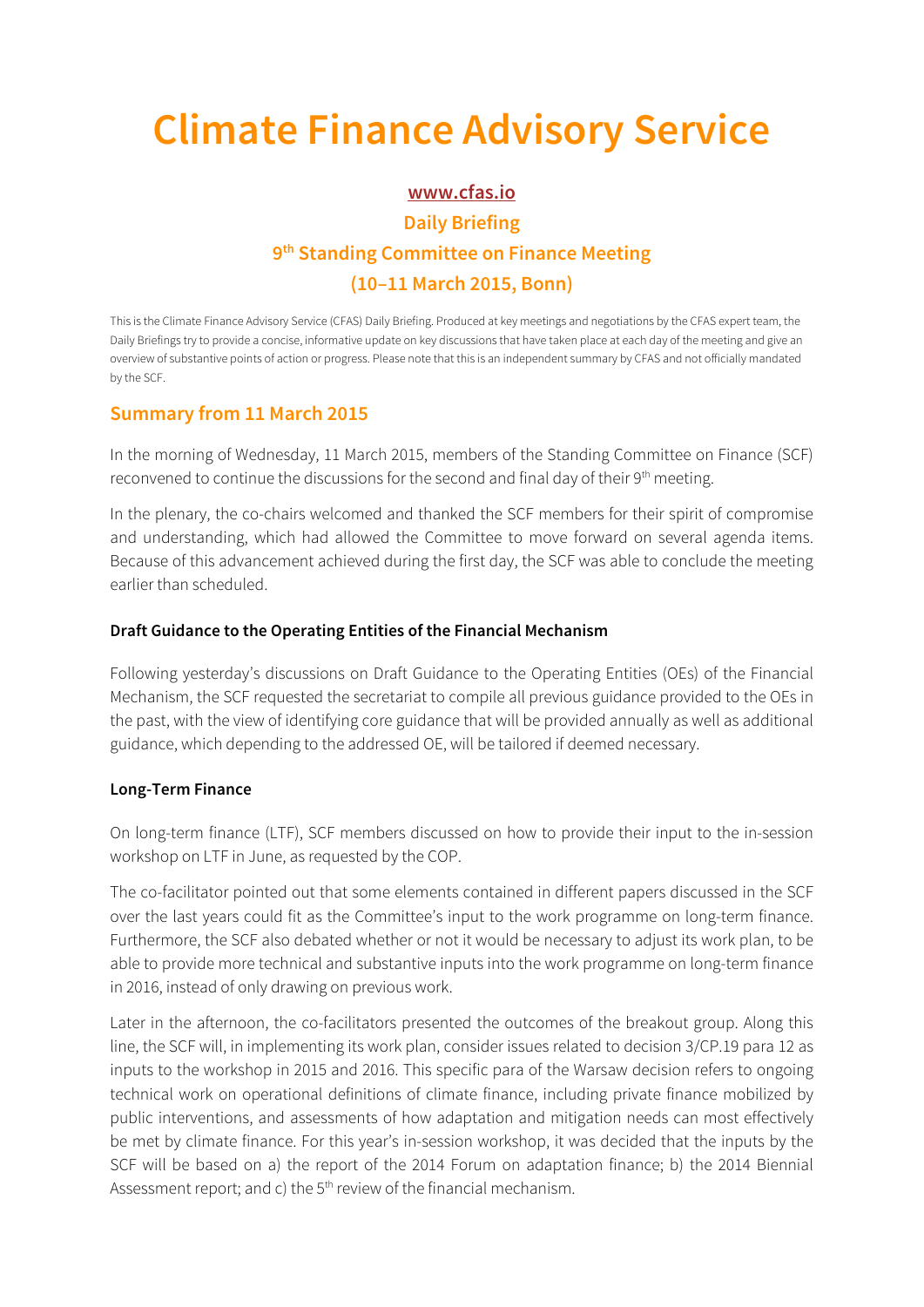# **Climate Finance Advisory Service**

## **www.cfas.io Daily Briefing 9th Standing Committee on Finance Meeting (10–11 March 2015, Bonn)**

This is the Climate Finance Advisory Service (CFAS) Daily Briefing. Produced at key meetings and negotiations by the CFAS expert team, the Daily Briefings try to provide a concise, informative update on key discussions that have taken place at each day of the meeting and give an overview of substantive points of action or progress. Please note that this is an independent summary by CFAS and not officially mandated by the SCF.

### **Summary from 11 March 2015**

In the morning of Wednesday, 11 March 2015, members of the Standing Committee on Finance (SCF) reconvened to continue the discussions for the second and final day of their 9<sup>th</sup> meeting.

In the plenary, the co-chairs welcomed and thanked the SCF members for their spirit of compromise and understanding, which had allowed the Committee to move forward on several agenda items. Because of this advancement achieved during the first day, the SCF was able to conclude the meeting earlier than scheduled.

#### **Draft Guidance to the Operating Entities of the Financial Mechanism**

Following yesterday's discussions on Draft Guidance to the Operating Entities (OEs) of the Financial Mechanism, the SCF requested the secretariat to compile all previous guidance provided to the OEs in the past, with the view of identifying core guidance that will be provided annually as well as additional guidance, which depending to the addressed OE, will be tailored if deemed necessary.

#### **Long-Term Finance**

On long-term finance (LTF), SCF members discussed on how to provide their input to the in-session workshop on LTF in June, as requested by the COP.

The co-facilitator pointed out that some elements contained in different papers discussed in the SCF over the last years could fit as the Committee's input to the work programme on long-term finance. Furthermore, the SCF also debated whether or not it would be necessary to adjust its work plan, to be able to provide more technical and substantive inputs into the work programme on long-term finance in 2016, instead of only drawing on previous work.

Later in the afternoon, the co-facilitators presented the outcomes of the breakout group. Along this line, the SCF will, in implementing its work plan, consider issues related to decision 3/CP.19 para 12 as inputs to the workshop in 2015 and 2016. This specific para of the Warsaw decision refers to ongoing technical work on operational definitions of climate finance, including private finance mobilized by public interventions, and assessments of how adaptation and mitigation needs can most effectively be met by climate finance. For this year's in-session workshop, it was decided that the inputs by the SCF will be based on a) the report of the 2014 Forum on adaptation finance; b) the 2014 Biennial Assessment report; and c) the  $5<sup>th</sup>$  review of the financial mechanism.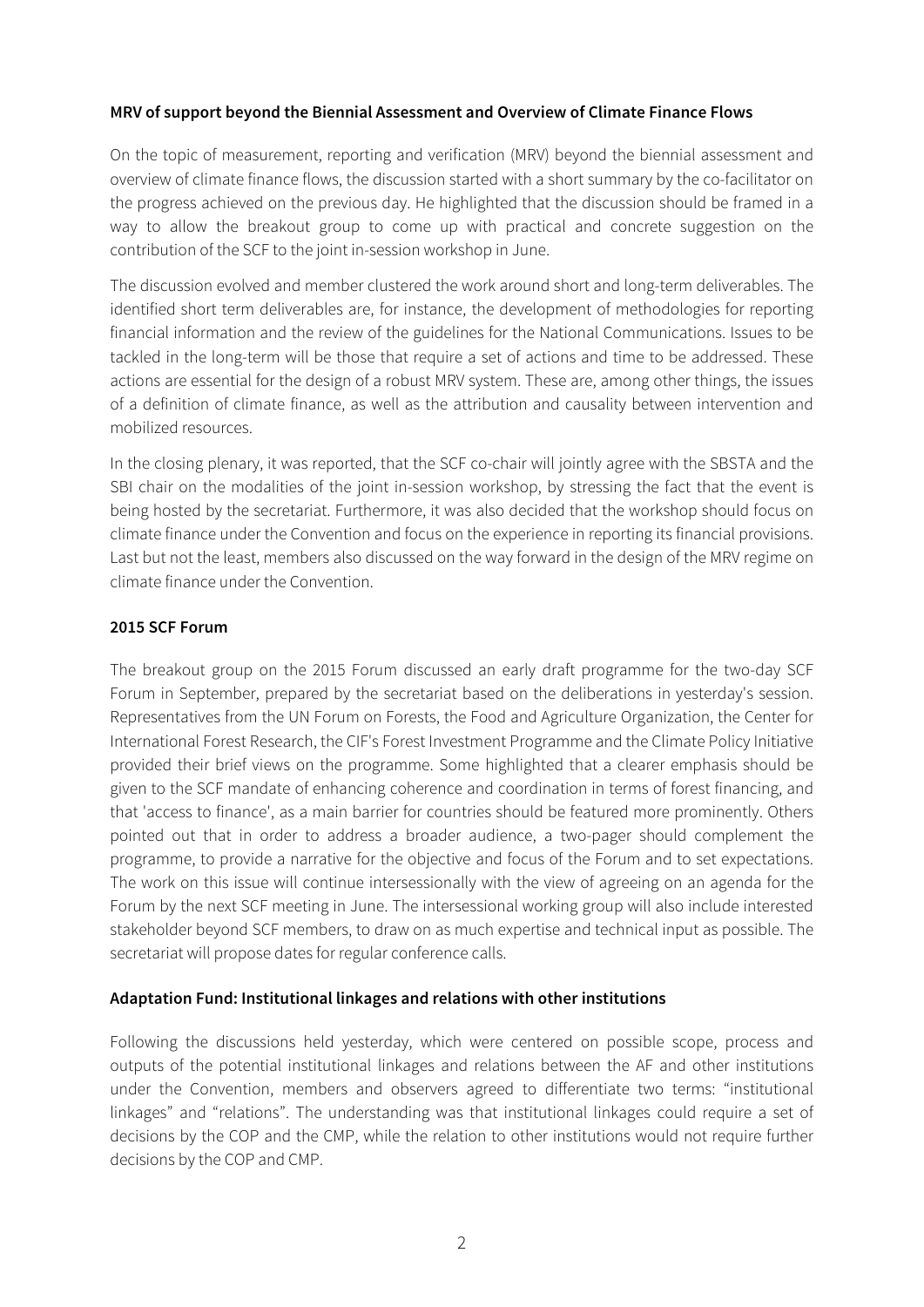#### **MRV of support beyond the Biennial Assessment and Overview of Climate Finance Flows**

On the topic of measurement, reporting and verification (MRV) beyond the biennial assessment and overview of climate finance flows, the discussion started with a short summary by the co-facilitator on the progress achieved on the previous day. He highlighted that the discussion should be framed in a way to allow the breakout group to come up with practical and concrete suggestion on the contribution of the SCF to the joint in-session workshop in June.

The discussion evolved and member clustered the work around short and long-term deliverables. The identified short term deliverables are, for instance, the development of methodologies for reporting financial information and the review of the guidelines for the National Communications. Issues to be tackled in the long-term will be those that require a set of actions and time to be addressed. These actions are essential for the design of a robust MRV system. These are, among other things, the issues of a definition of climate finance, as well as the attribution and causality between intervention and mobilized resources.

In the closing plenary, it was reported, that the SCF co-chair will jointly agree with the SBSTA and the SBI chair on the modalities of the joint in-session workshop, by stressing the fact that the event is being hosted by the secretariat. Furthermore, it was also decided that the workshop should focus on climate finance under the Convention and focus on the experience in reporting its financial provisions. Last but not the least, members also discussed on the way forward in the design of the MRV regime on climate finance under the Convention.

#### **2015 SCF Forum**

The breakout group on the 2015 Forum discussed an early draft programme for the two-day SCF Forum in September, prepared by the secretariat based on the deliberations in yesterday's session. Representatives from the UN Forum on Forests, the Food and Agriculture Organization, the Center for International Forest Research, the CIF's Forest Investment Programme and the Climate Policy Initiative provided their brief views on the programme. Some highlighted that a clearer emphasis should be given to the SCF mandate of enhancing coherence and coordination in terms of forest financing, and that 'access to finance', as a main barrier for countries should be featured more prominently. Others pointed out that in order to address a broader audience, a two-pager should complement the programme, to provide a narrative for the objective and focus of the Forum and to set expectations. The work on this issue will continue intersessionally with the view of agreeing on an agenda for the Forum by the next SCF meeting in June. The intersessional working group will also include interested stakeholder beyond SCF members, to draw on as much expertise and technical input as possible. The secretariat will propose dates for regular conference calls.

#### **Adaptation Fund: Institutional linkages and relations with other institutions**

Following the discussions held yesterday, which were centered on possible scope, process and outputs of the potential institutional linkages and relations between the AF and other institutions under the Convention, members and observers agreed to differentiate two terms: "institutional linkages" and "relations". The understanding was that institutional linkages could require a set of decisions by the COP and the CMP, while the relation to other institutions would not require further decisions by the COP and CMP.